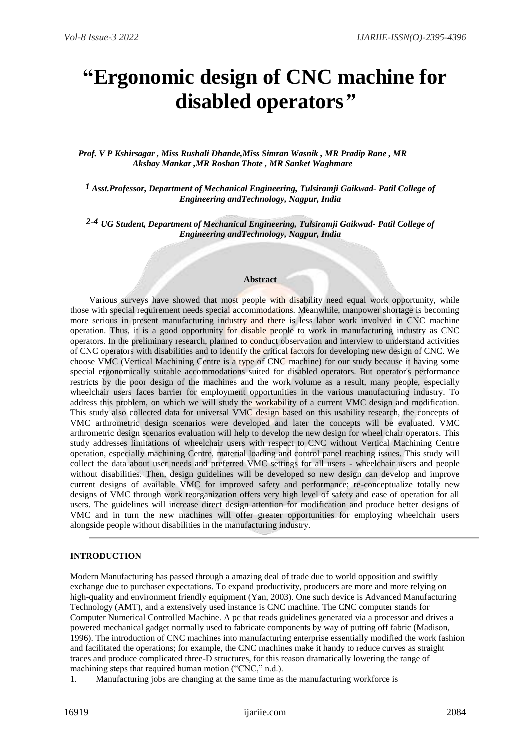# **"Ergonomic design of CNC machine for disabled operators***"*

*Prof. V P Kshirsagar , Miss Rushali Dhande,Miss Simran Wasnik , MR Pradip Rane , MR Akshay Mankar ,MR Roshan Thote , MR Sanket Waghmare*

*1 Asst.Professor, Department of Mechanical Engineering, Tulsiramji Gaikwad- Patil College of Engineering andTechnology, Nagpur, India*

*2-4 UG Student, Department of Mechanical Engineering, Tulsiramji Gaikwad- Patil College of Engineering andTechnology, Nagpur, India*

#### **Abstract**

Various surveys have showed that most people with disability need equal work opportunity, while those with special requirement needs special accommodations. Meanwhile, manpower shortage is becoming more serious in present manufacturing industry and there is less labor work involved in CNC machine operation. Thus, it is a good opportunity for disable people to work in manufacturing industry as CNC operators. In the preliminary research, planned to conduct observation and interview to understand activities of CNC operators with disabilities and to identify the critical factors for developing new design of CNC. We choose VMC (Vertical Machining Centre is a type of CNC machine) for our study because it having some special ergonomically suitable accommodations suited for disabled operators. But operator's performance restricts by the poor design of the machines and the work volume as a result, many people, especially wheelchair users faces barrier for employment opportunities in the various manufacturing industry. To address this problem, on which we will study the workability of a current VMC design and modification. This study also collected data for universal VMC design based on this usability research, the concepts of VMC arthrometric design scenarios were developed and later the concepts will be evaluated. VMC arthrometric design scenarios evaluation will help to develop the new design for wheel chair operators. This study addresses limitations of wheelchair users with respect to CNC without Vertical Machining Centre operation, especially machining Centre, material loading and control panel reaching issues. This study will collect the data about user needs and preferred VMC settings for all users - wheelchair users and people without disabilities. Then, design guidelines will be developed so new design can develop and improve current designs of available VMC for improved safety and performance; re-conceptualize totally new designs of VMC through work reorganization offers very high level of safety and ease of operation for all users. The guidelines will increase direct design attention for modification and produce better designs of VMC and in turn the new machines will offer greater opportunities for employing wheelchair users alongside people without disabilities in the manufacturing industry.

#### **INTRODUCTION**

Modern Manufacturing has passed through a amazing deal of trade due to world opposition and swiftly exchange due to purchaser expectations. To expand productivity, producers are more and more relying on high-quality and environment friendly equipment (Yan, 2003). One such device is Advanced Manufacturing Technology (AMT), and a extensively used instance is CNC machine. The CNC computer stands for Computer Numerical Controlled Machine. A pc that reads guidelines generated via a processor and drives a powered mechanical gadget normally used to fabricate components by way of putting off fabric (Madison, 1996). The introduction of CNC machines into manufacturing enterprise essentially modified the work fashion and facilitated the operations; for example, the CNC machines make it handy to reduce curves as straight traces and produce complicated three-D structures, for this reason dramatically lowering the range of machining steps that required human motion ("CNC," n.d.).

1. Manufacturing jobs are changing at the same time as the manufacturing workforce is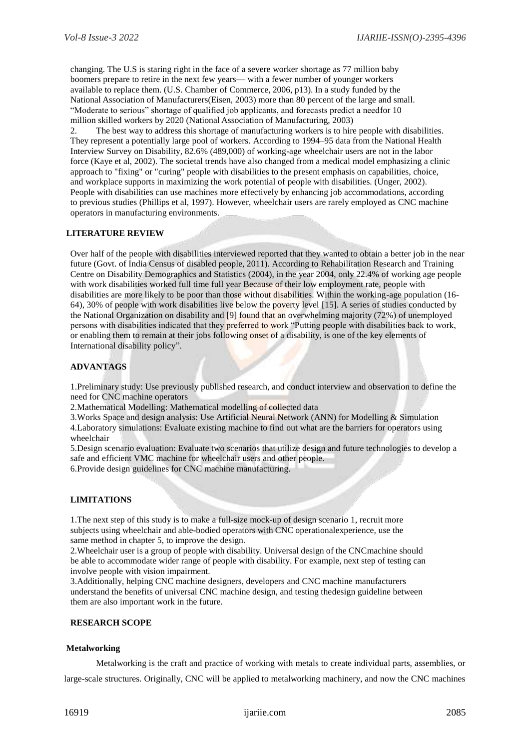changing. The U.S is staring right in the face of a severe worker shortage as 77 million baby boomers prepare to retire in the next few years— with a fewer number of younger workers available to replace them. (U.S. Chamber of Commerce, 2006, p13). In a study funded by the National Association of Manufacturers(Eisen, 2003) more than 80 percent of the large and small. "Moderate to serious" shortage of qualified job applicants, and forecasts predict a needfor 10 million skilled workers by 2020 (National Association of Manufacturing, 2003)

2. The best way to address this shortage of manufacturing workers is to hire people with disabilities. They represent a potentially large pool of workers. According to 1994–95 data from the National Health Interview Survey on Disability, 82.6% (489,000) of working-age wheelchair users are not in the labor force (Kaye et al, 2002). The societal trends have also changed from a medical model emphasizing a clinic approach to "fixing" or "curing" people with disabilities to the present emphasis on capabilities, choice, and workplace supports in maximizing the work potential of people with disabilities. (Unger, 2002). People with disabilities can use machines more effectively by enhancing job accommodations, according to previous studies (Phillips et al, 1997). However, wheelchair users are rarely employed as CNC machine operators in manufacturing environments.

## **LITERATURE REVIEW**

Over half of the people with disabilities interviewed reported that they wanted to obtain a better job in the near future (Govt. of India Census of disabled people, 2011). According to Rehabilitation Research and Training Centre on Disability Demographics and Statistics (2004), in the year 2004, only 22.4% of working age people with work disabilities worked full time full year Because of their low employment rate, people with disabilities are more likely to be poor than those without disabilities. Within the working-age population (16- 64), 30% of people with work disabilities live below the poverty level [15]. A series of studies conducted by the National Organization on disability and [9] found that an overwhelming majority (72%) of unemployed persons with disabilities indicated that they preferred to work "Putting people with disabilities back to work, or enabling them to remain at their jobs following onset of a disability, is one of the key elements of International disability policy".

## **ADVANTAGS**

1.Preliminary study: Use previously published research, and conduct interview and observation to define the need for CNC machine operators

2. Mathematical Modelling: Mathematical modelling of collected data

3.Works Space and design analysis: Use Artificial Neural Network (ANN) for Modelling & Simulation 4.Laboratory simulations: Evaluate existing machine to find out what are the barriers for operators using

wheelchair 5.Design scenario evaluation: Evaluate two scenarios that utilize design and future technologies to develop a safe and efficient VMC machine for wheelchair users and other people.

6.Provide design guidelines for CNC machine manufacturing.

# **LIMITATIONS**

1.The next step of this study is to make a full-size mock-up of design scenario 1, recruit more subjects using wheelchair and able-bodied operators with CNC operationalexperience, use the same method in chapter 5, to improve the design.

2.Wheelchair user is a group of people with disability. Universal design of the CNCmachine should be able to accommodate wider range of people with disability. For example, next step of testing can involve people with vision impairment.

3.Additionally, helping CNC machine designers, developers and CNC machine manufacturers understand the benefits of universal CNC machine design, and testing thedesign guideline between them are also important work in the future.

## **RESEARCH SCOPE**

## **Metalworking**

Metalworking is the craft and practice of working with metals to create individual parts, assemblies, or large-scale structures. Originally, CNC will be applied to metalworking machinery, and now the CNC machines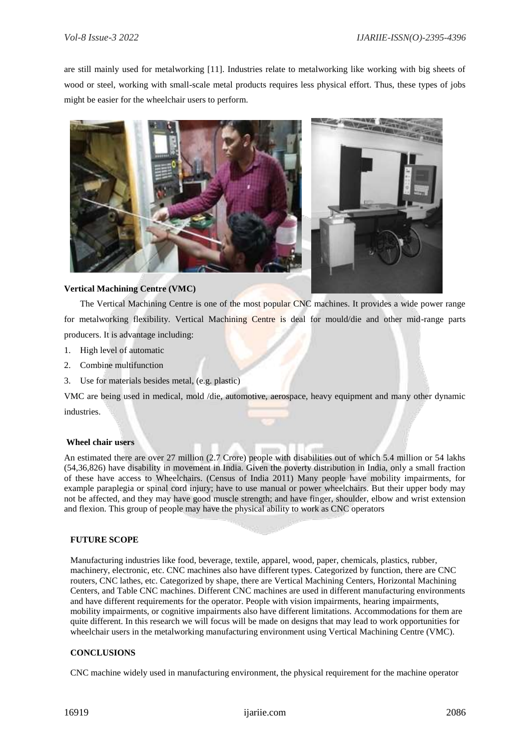are still mainly used for metalworking [11]. Industries relate to metalworking like working with big sheets of wood or steel, working with small-scale metal products requires less physical effort. Thus, these types of jobs might be easier for the wheelchair users to perform.



## **Vertical Machining Centre (VMC)**

The Vertical Machining Centre is one of the most popular CNC machines. It provides a wide power range for metalworking flexibility. Vertical Machining Centre is deal for mould/die and other mid-range parts producers. It is advantage including:

- 1. High level of automatic
- 2. Combine multifunction
- 3. Use for materials besides metal, (e.g. plastic)

VMC are being used in medical, mold /die, automotive, aerospace, heavy equipment and many other dynamic industries.

## **Wheel chair users**

An estimated there are over 27 million (2.7 Crore) people with disabilities out of which 5.4 million or 54 lakhs (54,36,826) have disability in movement in India. Given the poverty distribution in India, only a small fraction of these have access to Wheelchairs. (Census of India 2011) Many people have mobility impairments, for example paraplegia or spinal cord injury; have to use manual or power wheelchairs. But their upper body may not be affected, and they may have good muscle strength; and have finger, shoulder, elbow and wrist extension and flexion. This group of people may have the physical ability to work as CNC operators

#### **FUTURE SCOPE**

Manufacturing industries like food, beverage, textile, apparel, wood, paper, chemicals, plastics, rubber, machinery, electronic, etc. CNC machines also have different types. Categorized by function, there are CNC routers, CNC lathes, etc. Categorized by shape, there are Vertical Machining Centers, Horizontal Machining Centers, and Table CNC machines. Different CNC machines are used in different manufacturing environments and have different requirements for the operator. People with vision impairments, hearing impairments, mobility impairments, or cognitive impairments also have different limitations. Accommodations for them are quite different. In this research we will focus will be made on designs that may lead to work opportunities for wheelchair users in the metalworking manufacturing environment using Vertical Machining Centre (VMC).

## **CONCLUSIONS**

CNC machine widely used in manufacturing environment, the physical requirement for the machine operator